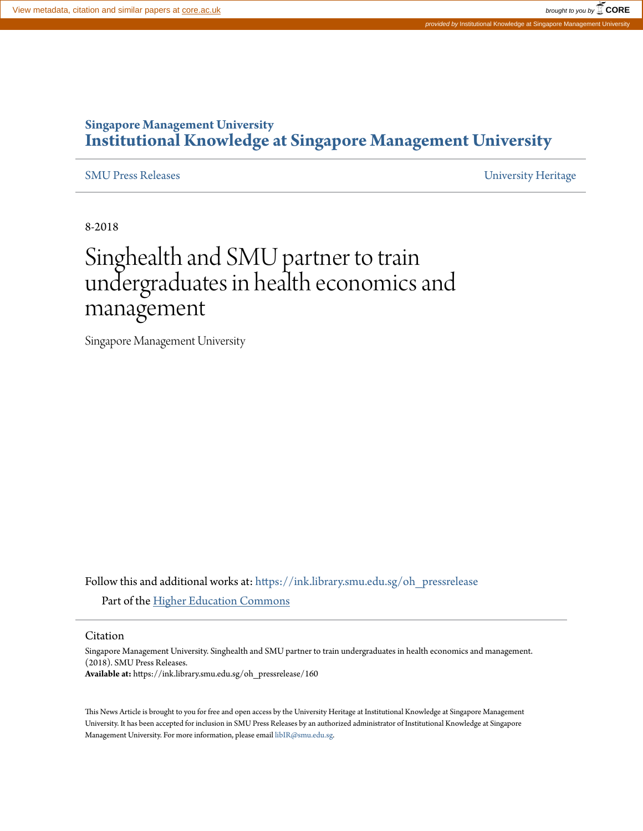# **Singapore Management University [Institutional Knowledge at Singapore Management University](https://ink.library.smu.edu.sg?utm_source=ink.library.smu.edu.sg%2Foh_pressrelease%2F160&utm_medium=PDF&utm_campaign=PDFCoverPages)**

[SMU Press Releases](https://ink.library.smu.edu.sg/oh_pressrelease?utm_source=ink.library.smu.edu.sg%2Foh_pressrelease%2F160&utm_medium=PDF&utm_campaign=PDFCoverPages) [University Heritage](https://ink.library.smu.edu.sg/uhc?utm_source=ink.library.smu.edu.sg%2Foh_pressrelease%2F160&utm_medium=PDF&utm_campaign=PDFCoverPages)

8-2018

# Singhealth and SMU partner to train undergraduates in health economics and management

Singapore Management University

Follow this and additional works at: [https://ink.library.smu.edu.sg/oh\\_pressrelease](https://ink.library.smu.edu.sg/oh_pressrelease?utm_source=ink.library.smu.edu.sg%2Foh_pressrelease%2F160&utm_medium=PDF&utm_campaign=PDFCoverPages) Part of the [Higher Education Commons](http://network.bepress.com/hgg/discipline/1245?utm_source=ink.library.smu.edu.sg%2Foh_pressrelease%2F160&utm_medium=PDF&utm_campaign=PDFCoverPages)

Citation

Singapore Management University. Singhealth and SMU partner to train undergraduates in health economics and management. (2018). SMU Press Releases. **Available at:** https://ink.library.smu.edu.sg/oh\_pressrelease/160

This News Article is brought to you for free and open access by the University Heritage at Institutional Knowledge at Singapore Management University. It has been accepted for inclusion in SMU Press Releases by an authorized administrator of Institutional Knowledge at Singapore Management University. For more information, please email [libIR@smu.edu.sg](mailto:libIR@smu.edu.sg).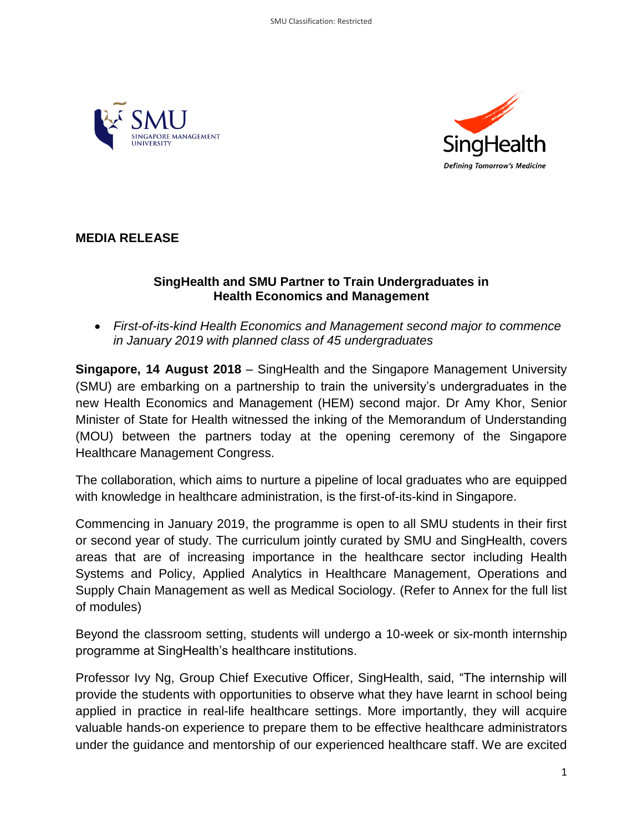



# **MEDIA RELEASE**

#### **SingHealth and SMU Partner to Train Undergraduates in Health Economics and Management**

 *First-of-its-kind Health Economics and Management second major to commence in January 2019 with planned class of 45 undergraduates* 

**Singapore, 14 August 2018** – SingHealth and the Singapore Management University (SMU) are embarking on a partnership to train the university's undergraduates in the new Health Economics and Management (HEM) second major. Dr Amy Khor, Senior Minister of State for Health witnessed the inking of the Memorandum of Understanding (MOU) between the partners today at the opening ceremony of the Singapore Healthcare Management Congress.

The collaboration, which aims to nurture a pipeline of local graduates who are equipped with knowledge in healthcare administration, is the first-of-its-kind in Singapore.

Commencing in January 2019, the programme is open to all SMU students in their first or second year of study. The curriculum jointly curated by SMU and SingHealth, covers areas that are of increasing importance in the healthcare sector including Health Systems and Policy, Applied Analytics in Healthcare Management, Operations and Supply Chain Management as well as Medical Sociology. (Refer to Annex for the full list of modules)

Beyond the classroom setting, students will undergo a 10-week or six-month internship programme at SingHealth's healthcare institutions.

Professor Ivy Ng, Group Chief Executive Officer, SingHealth, said, "The internship will provide the students with opportunities to observe what they have learnt in school being applied in practice in real-life healthcare settings. More importantly, they will acquire valuable hands-on experience to prepare them to be effective healthcare administrators under the guidance and mentorship of our experienced healthcare staff. We are excited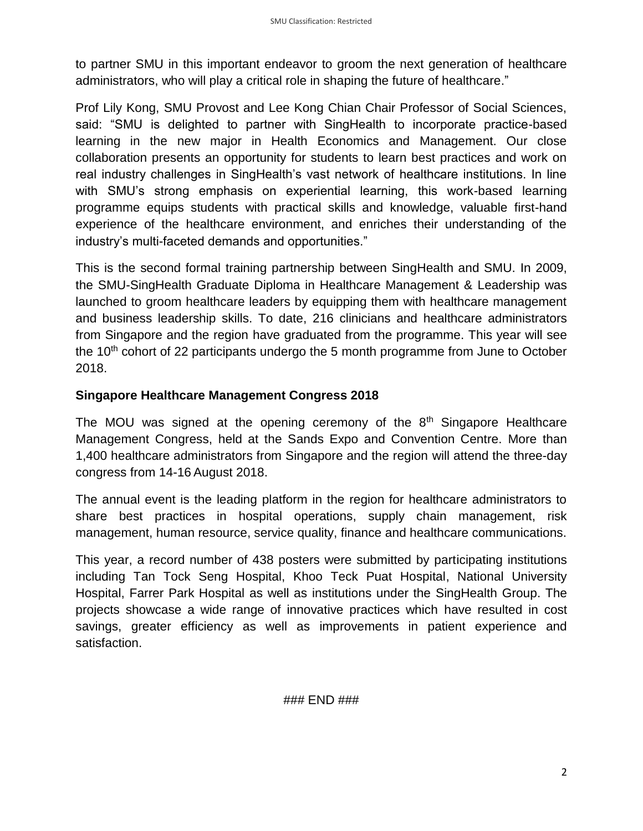to partner SMU in this important endeavor to groom the next generation of healthcare administrators, who will play a critical role in shaping the future of healthcare."

Prof Lily Kong, SMU Provost and Lee Kong Chian Chair Professor of Social Sciences, said: "SMU is delighted to partner with SingHealth to incorporate practice-based learning in the new major in Health Economics and Management. Our close collaboration presents an opportunity for students to learn best practices and work on real industry challenges in SingHealth's vast network of healthcare institutions. In line with SMU's strong emphasis on experiential learning, this work-based learning programme equips students with practical skills and knowledge, valuable first-hand experience of the healthcare environment, and enriches their understanding of the industry's multi-faceted demands and opportunities."

This is the second formal training partnership between SingHealth and SMU. In 2009, the SMU-SingHealth Graduate Diploma in Healthcare Management & Leadership was launched to groom healthcare leaders by equipping them with healthcare management and business leadership skills. To date, 216 clinicians and healthcare administrators from Singapore and the region have graduated from the programme. This year will see the 10<sup>th</sup> cohort of 22 participants undergo the 5 month programme from June to October 2018.

#### **Singapore Healthcare Management Congress 2018**

The MOU was signed at the opening ceremony of the  $8<sup>th</sup>$  Singapore Healthcare Management Congress, held at the Sands Expo and Convention Centre. More than 1,400 healthcare administrators from Singapore and the region will attend the three-day congress from 14-16 August 2018.

The annual event is the leading platform in the region for healthcare administrators to share best practices in hospital operations, supply chain management, risk management, human resource, service quality, finance and healthcare communications.

This year, a record number of 438 posters were submitted by participating institutions including Tan Tock Seng Hospital, Khoo Teck Puat Hospital, National University Hospital, Farrer Park Hospital as well as institutions under the SingHealth Group. The projects showcase a wide range of innovative practices which have resulted in cost savings, greater efficiency as well as improvements in patient experience and satisfaction.

### END ###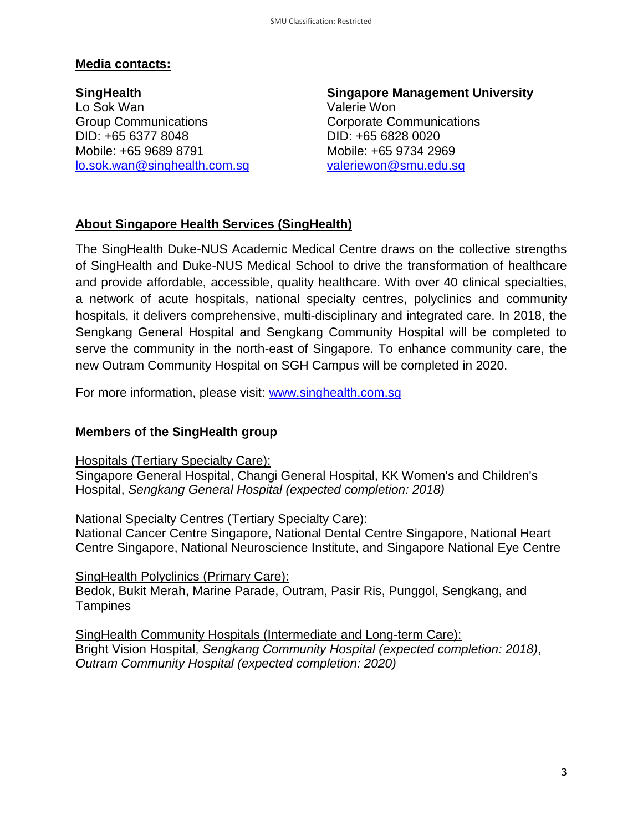#### **Media contacts:**

**SingHealth** Lo Sok Wan Group Communications DID: +65 6377 8048 Mobile: +65 9689 8791 [lo.sok.wan@singhealth.com.sg](mailto:lo.sok.wan@singhealth.com.sg) 

**Singapore Management University**  Valerie Won Corporate Communications DID: +65 6828 0020 Mobile: +65 9734 2969 [valeriewon@smu.edu.sg](mailto:valeriewon@smu.edu.sg)

## **About Singapore Health Services (SingHealth)**

The SingHealth Duke-NUS Academic Medical Centre draws on the collective strengths of SingHealth and Duke-NUS Medical School to drive the transformation of healthcare and provide affordable, accessible, quality healthcare. With over 40 clinical specialties, a network of acute hospitals, national specialty centres, polyclinics and community hospitals, it delivers comprehensive, multi-disciplinary and integrated care. In 2018, the Sengkang General Hospital and Sengkang Community Hospital will be completed to serve the community in the north-east of Singapore. To enhance community care, the new Outram Community Hospital on SGH Campus will be completed in 2020.

For more information, please visit: [www.singhealth.com.sg](http://www.singhealth.com.sg/)

#### **Members of the SingHealth group**

Hospitals (Tertiary Specialty Care):

Singapore General Hospital, Changi General Hospital, KK Women's and Children's Hospital, *Sengkang General Hospital (expected completion: 2018)*

National Specialty Centres (Tertiary Specialty Care):

National Cancer Centre Singapore, National Dental Centre Singapore, National Heart Centre Singapore, National Neuroscience Institute, and Singapore National Eye Centre

#### SingHealth Polyclinics (Primary Care):

Bedok, Bukit Merah, Marine Parade, Outram, Pasir Ris, Punggol, Sengkang, and **Tampines** 

SingHealth Community Hospitals (Intermediate and Long-term Care): Bright Vision Hospital, *Sengkang Community Hospital (expected completion: 2018)*, *Outram Community Hospital (expected completion: 2020)*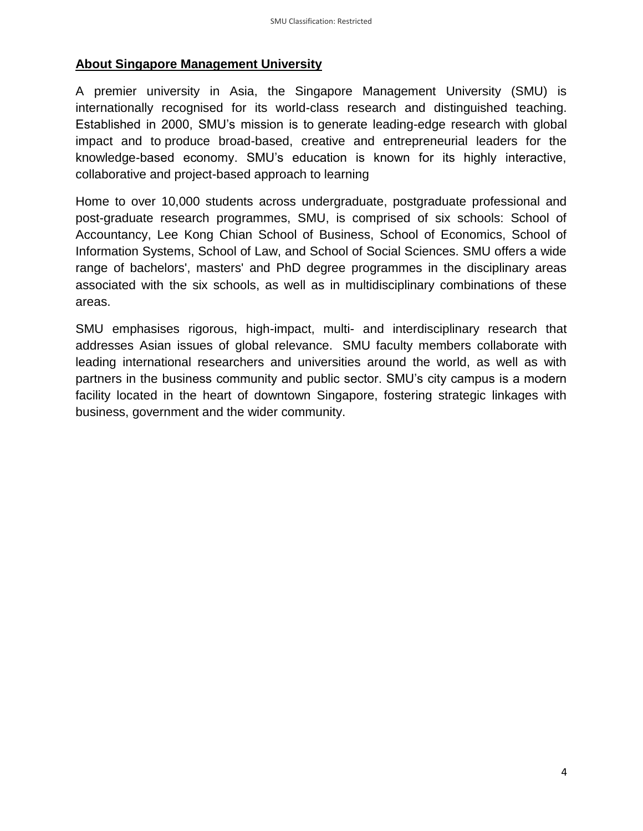#### **About Singapore Management University**

A premier university in Asia, the Singapore Management University (SMU) is internationally recognised for its world-class research and distinguished teaching. Established in 2000, SMU's mission is to generate leading-edge research with global impact and to produce broad-based, creative and entrepreneurial leaders for the knowledge-based economy. SMU's education is known for its highly interactive, collaborative and project-based approach to learning

Home to over 10,000 students across undergraduate, postgraduate professional and post-graduate research programmes, SMU, is comprised of six schools: School of Accountancy, Lee Kong Chian School of Business, School of Economics, School of Information Systems, School of Law, and School of Social Sciences. SMU offers a wide range of bachelors', masters' and PhD degree programmes in the disciplinary areas associated with the six schools, as well as in multidisciplinary combinations of these areas.

SMU emphasises rigorous, high-impact, multi- and interdisciplinary research that addresses Asian issues of global relevance. SMU faculty members collaborate with leading international researchers and universities around the world, as well as with partners in the business community and public sector. SMU's city campus is a modern facility located in the heart of downtown Singapore, fostering strategic linkages with business, government and the wider community.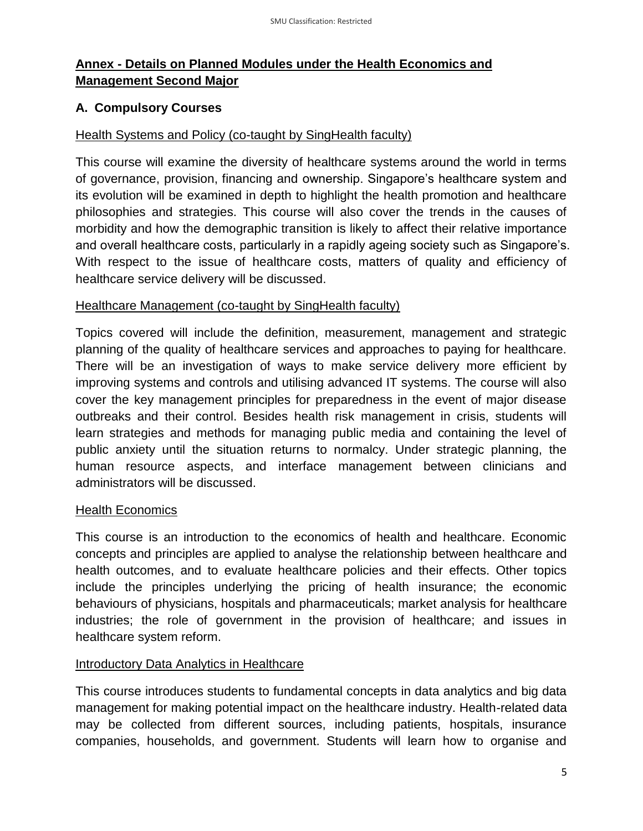# **Annex - Details on Planned Modules under the Health Economics and Management Second Major**

## **A. Compulsory Courses**

#### Health Systems and Policy (co-taught by SingHealth faculty)

This course will examine the diversity of healthcare systems around the world in terms of governance, provision, financing and ownership. Singapore's healthcare system and its evolution will be examined in depth to highlight the health promotion and healthcare philosophies and strategies. This course will also cover the trends in the causes of morbidity and how the demographic transition is likely to affect their relative importance and overall healthcare costs, particularly in a rapidly ageing society such as Singapore's. With respect to the issue of healthcare costs, matters of quality and efficiency of healthcare service delivery will be discussed.

#### Healthcare Management (co-taught by SingHealth faculty)

Topics covered will include the definition, measurement, management and strategic planning of the quality of healthcare services and approaches to paying for healthcare. There will be an investigation of ways to make service delivery more efficient by improving systems and controls and utilising advanced IT systems. The course will also cover the key management principles for preparedness in the event of major disease outbreaks and their control. Besides health risk management in crisis, students will learn strategies and methods for managing public media and containing the level of public anxiety until the situation returns to normalcy. Under strategic planning, the human resource aspects, and interface management between clinicians and administrators will be discussed.

#### **Health Economics**

This course is an introduction to the economics of health and healthcare. Economic concepts and principles are applied to analyse the relationship between healthcare and health outcomes, and to evaluate healthcare policies and their effects. Other topics include the principles underlying the pricing of health insurance; the economic behaviours of physicians, hospitals and pharmaceuticals; market analysis for healthcare industries; the role of government in the provision of healthcare; and issues in healthcare system reform.

#### Introductory Data Analytics in Healthcare

This course introduces students to fundamental concepts in data analytics and big data management for making potential impact on the healthcare industry. Health-related data may be collected from different sources, including patients, hospitals, insurance companies, households, and government. Students will learn how to organise and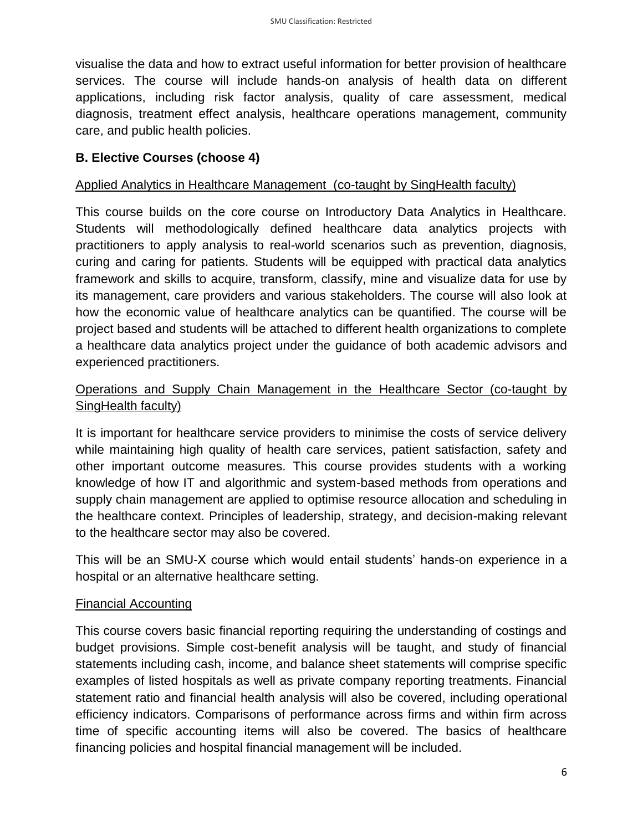visualise the data and how to extract useful information for better provision of healthcare services. The course will include hands-on analysis of health data on different applications, including risk factor analysis, quality of care assessment, medical diagnosis, treatment effect analysis, healthcare operations management, community care, and public health policies.

## **B. Elective Courses (choose 4)**

#### Applied Analytics in Healthcare Management (co-taught by SingHealth faculty)

This course builds on the core course on Introductory Data Analytics in Healthcare. Students will methodologically defined healthcare data analytics projects with practitioners to apply analysis to real-world scenarios such as prevention, diagnosis, curing and caring for patients. Students will be equipped with practical data analytics framework and skills to acquire, transform, classify, mine and visualize data for use by its management, care providers and various stakeholders. The course will also look at how the economic value of healthcare analytics can be quantified. The course will be project based and students will be attached to different health organizations to complete a healthcare data analytics project under the guidance of both academic advisors and experienced practitioners.

## Operations and Supply Chain Management in the Healthcare Sector (co-taught by SingHealth faculty)

It is important for healthcare service providers to minimise the costs of service delivery while maintaining high quality of health care services, patient satisfaction, safety and other important outcome measures. This course provides students with a working knowledge of how IT and algorithmic and system-based methods from operations and supply chain management are applied to optimise resource allocation and scheduling in the healthcare context. Principles of leadership, strategy, and decision-making relevant to the healthcare sector may also be covered.

This will be an SMU-X course which would entail students' hands-on experience in a hospital or an alternative healthcare setting.

#### Financial Accounting

This course covers basic financial reporting requiring the understanding of costings and budget provisions. Simple cost-benefit analysis will be taught, and study of financial statements including cash, income, and balance sheet statements will comprise specific examples of listed hospitals as well as private company reporting treatments. Financial statement ratio and financial health analysis will also be covered, including operational efficiency indicators. Comparisons of performance across firms and within firm across time of specific accounting items will also be covered. The basics of healthcare financing policies and hospital financial management will be included.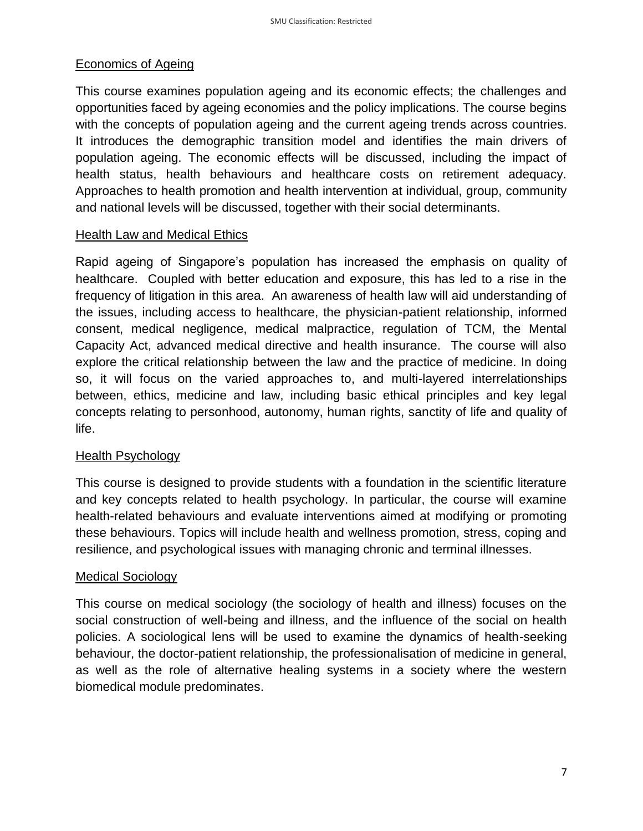#### Economics of Ageing

This course examines population ageing and its economic effects; the challenges and opportunities faced by ageing economies and the policy implications. The course begins with the concepts of population ageing and the current ageing trends across countries. It introduces the demographic transition model and identifies the main drivers of population ageing. The economic effects will be discussed, including the impact of health status, health behaviours and healthcare costs on retirement adequacy. Approaches to health promotion and health intervention at individual, group, community and national levels will be discussed, together with their social determinants.

#### **Health Law and Medical Ethics**

Rapid ageing of Singapore's population has increased the emphasis on quality of healthcare. Coupled with better education and exposure, this has led to a rise in the frequency of litigation in this area. An awareness of health law will aid understanding of the issues, including access to healthcare, the physician-patient relationship, informed consent, medical negligence, medical malpractice, regulation of TCM, the Mental Capacity Act, advanced medical directive and health insurance. The course will also explore the critical relationship between the law and the practice of medicine. In doing so, it will focus on the varied approaches to, and multi-layered interrelationships between, ethics, medicine and law, including basic ethical principles and key legal concepts relating to personhood, autonomy, human rights, sanctity of life and quality of life.

#### Health Psychology

This course is designed to provide students with a foundation in the scientific literature and key concepts related to health psychology. In particular, the course will examine health-related behaviours and evaluate interventions aimed at modifying or promoting these behaviours. Topics will include health and wellness promotion, stress, coping and resilience, and psychological issues with managing chronic and terminal illnesses.

#### Medical Sociology

This course on medical sociology (the sociology of health and illness) focuses on the social construction of well-being and illness, and the influence of the social on health policies. A sociological lens will be used to examine the dynamics of health-seeking behaviour, the doctor-patient relationship, the professionalisation of medicine in general, as well as the role of alternative healing systems in a society where the western biomedical module predominates.